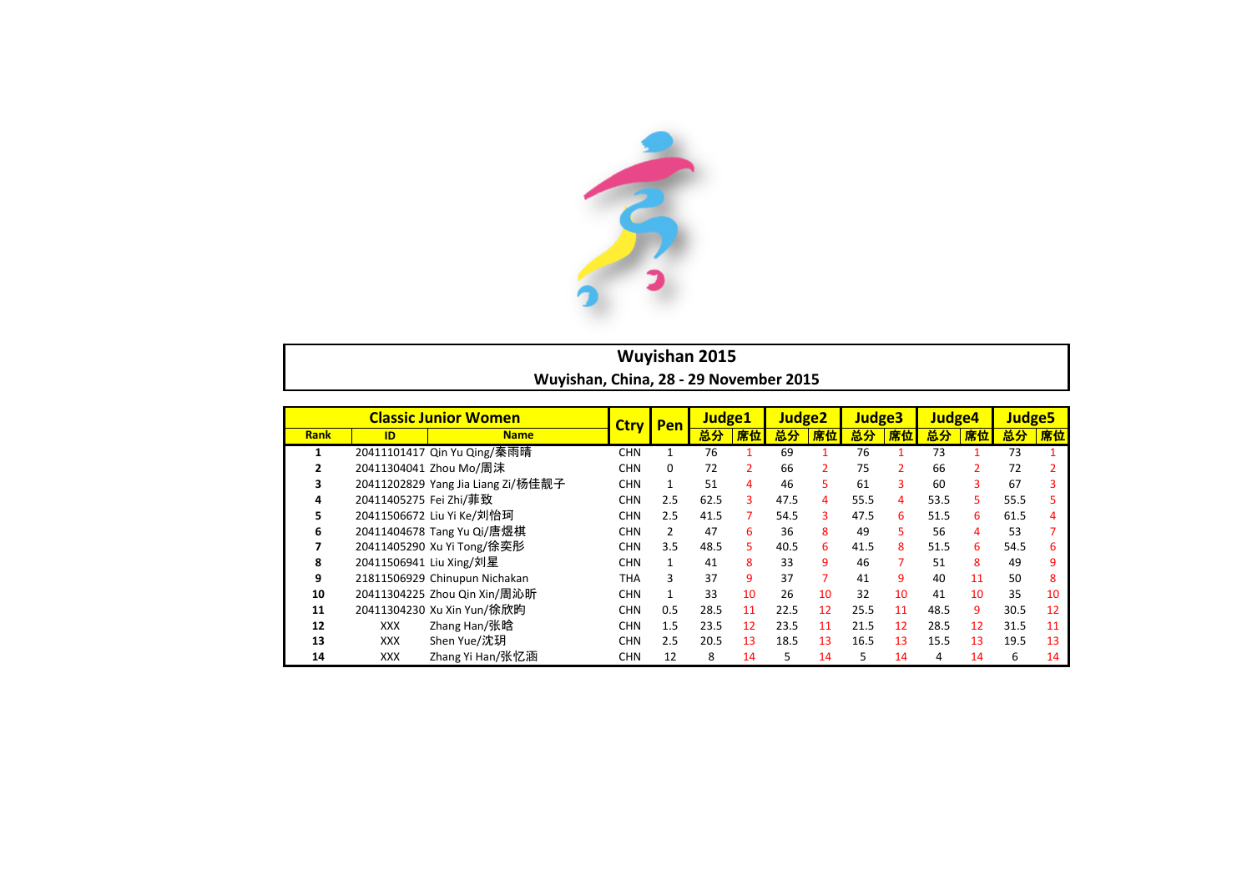

## **Wuyishan 2015** Wuyishan, China, 28 - 29 November 2015

|             | <b>Classic Junior Women</b> |                                    | Pen<br><b>Ctrv</b> |              | Judge1 |                | Judge <sub>2</sub> |    | Judge <sub>3</sub> |                | Judge4 |               | Judge <sub>5</sub> |    |
|-------------|-----------------------------|------------------------------------|--------------------|--------------|--------|----------------|--------------------|----|--------------------|----------------|--------|---------------|--------------------|----|
| <b>Rank</b> | ID                          | <b>Name</b>                        |                    |              | 总分     | 席位             | 总分                 | 席位 | 总分                 | 席位             | 总分     | 席位            | 总分                 | 席位 |
|             |                             | 20411101417 Qin Yu Qing/秦雨晴        | <b>CHN</b>         | 1            | 76     |                | 69                 |    | 76                 |                | 73     |               | 73                 |    |
|             |                             | 20411304041 Zhou Mo/周沫             | <b>CHN</b>         | 0            | 72     | 2              | 66                 |    | 75                 | $\overline{2}$ | 66     | $\mathcal{P}$ | 72                 |    |
|             |                             | 20411202829 Yang Jia Liang Zi/杨佳靓子 | <b>CHN</b>         | 1            | 51     | 4              | 46                 | 5. | 61                 | 3              | 60     | 3             | 67                 |    |
| 4           | 20411405275 Fei Zhi/菲致      |                                    | <b>CHN</b>         | 2.5          | 62.5   | 3              | 47.5               | 4  | 55.5               | 4              | 53.5   | 5.            | 55.5               |    |
| 5.          |                             | 20411506672 Liu Yi Ke/刘怡珂          | <b>CHN</b>         | 2.5          | 41.5   | $\overline{7}$ | 54.5               | 3  | 47.5               | 6              | 51.5   | 6             | 61.5               | 4  |
| 6           |                             | 20411404678 Tang Yu Qi/唐煜棋         | <b>CHN</b>         | 2            | 47     | 6              | 36                 | 8  | 49                 | 5.             | 56     | 4             | 53                 |    |
|             |                             | 20411405290 Xu Yi Tong/徐奕彤         | <b>CHN</b>         | 3.5          | 48.5   | 5.             | 40.5               | 6  | 41.5               | 8              | 51.5   | 6             | 54.5               |    |
| 8           |                             | 20411506941 Liu Xing/刘星            | <b>CHN</b>         | 1            | 41     | 8              | 33                 | 9  | 46                 | 7              | 51     | 8             | 49                 | 9  |
| 9           |                             | 21811506929 Chinupun Nichakan      | THA                | 3            | 37     | 9              | 37                 |    | 41                 | 9              | 40     | 11            | 50                 | 8  |
| 10          |                             | 20411304225 Zhou Qin Xin/周沁昕       | <b>CHN</b>         | $\mathbf{1}$ | 33     | 10             | 26                 | 10 | 32                 | 10             | 41     | 10            | 35                 | 10 |
| 11          |                             | 20411304230 Xu Xin Yun/徐欣昀         | <b>CHN</b>         | 0.5          | 28.5   | 11             | 22.5               | 12 | 25.5               | 11             | 48.5   | 9             | 30.5               | 12 |
| 12          | <b>XXX</b>                  | Zhang Han/张晗                       | <b>CHN</b>         | 1.5          | 23.5   | 12             | 23.5               | 11 | 21.5               | 12             | 28.5   | 12            | 31.5               | 11 |
| 13          | <b>XXX</b>                  | Shen Yue/沈玥                        | <b>CHN</b>         | 2.5          | 20.5   | 13             | 18.5               | 13 | 16.5               | 13             | 15.5   | 13            | 19.5               | 13 |
| 14          | <b>XXX</b>                  | Zhang Yi Han/张忆涵                   | <b>CHN</b>         | 12           | 8      | 14             | 5                  | 14 | 5                  | 14             | 4      | 14            | 6                  | 14 |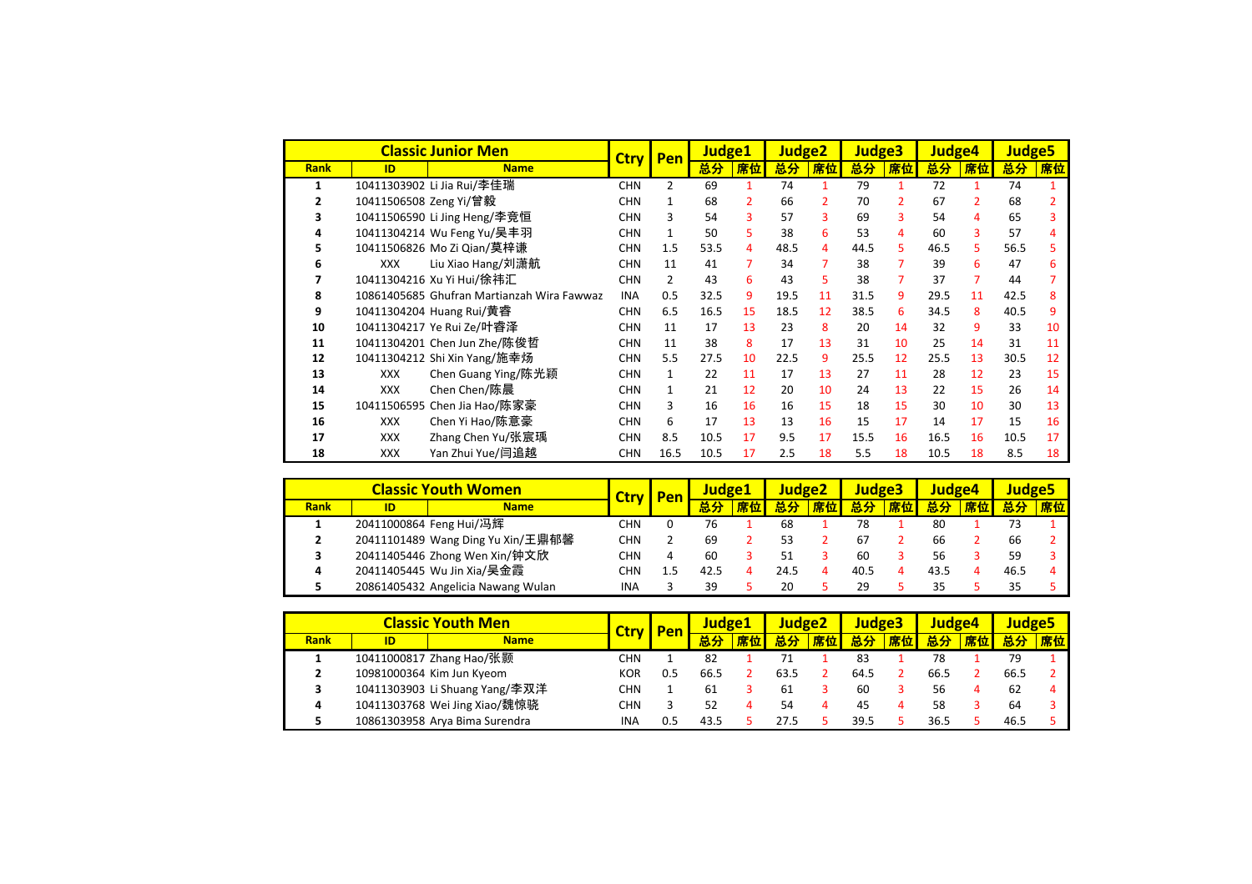|             |                        | <b>Classic Junior Men</b>                  | <b>Ctrv</b> | Pen            | Judge1 |                | Judge <sub>2</sub> |               | Judge3 |                | <b>Judge4</b> |                | <b>Judge5</b> |    |
|-------------|------------------------|--------------------------------------------|-------------|----------------|--------|----------------|--------------------|---------------|--------|----------------|---------------|----------------|---------------|----|
| <b>Rank</b> | ID                     | <b>Name</b>                                |             |                | 总分     | 席位             | 总分                 | 席位            | 总分     | 席位             | 总分            | 席位             | 总分            | 席位 |
| 1           |                        | 10411303902 Li Jia Rui/李佳瑞                 | <b>CHN</b>  | 2              | 69     |                | 74                 |               | 79     |                | 72            | 1.             | 74            |    |
|             | 10411506508 Zeng Yi/曾毅 |                                            | <b>CHN</b>  | 1              | 68     | $\overline{2}$ | 66                 | $\mathcal{P}$ | 70     | $\overline{2}$ | 67            | $\overline{2}$ | 68            |    |
|             |                        | 10411506590 Li Jing Heng/李竞恒               | <b>CHN</b>  | 3              | 54     | 3              | 57                 | 3             | 69     | 3              | 54            | 4              | 65            |    |
|             |                        | 10411304214 Wu Feng Yu/吴丰羽                 | <b>CHN</b>  | 1              | 50     | 5.             | 38                 | 6             | 53     | 4              | 60            | 3              | 57            |    |
|             |                        | 10411506826 Mo Zi Qian/莫梓谦                 | <b>CHN</b>  | 1.5            | 53.5   | 4              | 48.5               | 4             | 44.5   | 5              | 46.5          | 5.             | 56.5          |    |
| 6           | <b>XXX</b>             | Liu Xiao Hang/刘潇航                          | <b>CHN</b>  | 11             | 41     | 7              | 34                 |               | 38     | 7              | 39            | 6              | 47            |    |
|             |                        | 10411304216 Xu Yi Hui/徐祎汇                  | <b>CHN</b>  | $\overline{2}$ | 43     | 6              | 43                 | 5             | 38     | 7              | 37            | $\overline{7}$ | 44            |    |
| 8           |                        | 10861405685 Ghufran Martianzah Wira Fawwaz | <b>INA</b>  | 0.5            | 32.5   | 9              | 19.5               | 11            | 31.5   | 9              | 29.5          | 11             | 42.5          | 8  |
| 9           |                        | 10411304204 Huang Rui/黄睿                   | <b>CHN</b>  | 6.5            | 16.5   | 15             | 18.5               | 12            | 38.5   | 6              | 34.5          | 8              | 40.5          | 9  |
| 10          |                        | 10411304217 Ye Rui Ze/叶睿泽                  | <b>CHN</b>  | 11             | 17     | 13             | 23                 | 8             | 20     | 14             | 32            | 9              | 33            | 10 |
| 11          |                        | 10411304201 Chen Jun Zhe/陈俊哲               | <b>CHN</b>  | 11             | 38     | 8              | 17                 | 13            | 31     | 10             | 25            | 14             | 31            | 11 |
| 12          |                        | 10411304212 Shi Xin Yang/施幸炀               | <b>CHN</b>  | 5.5            | 27.5   | 10             | 22.5               | 9             | 25.5   | 12             | 25.5          | 13             | 30.5          | 12 |
| 13          | <b>XXX</b>             | Chen Guang Ying/陈光颖                        | <b>CHN</b>  | $\mathbf{1}$   | 22     | 11             | 17                 | 13            | 27     | 11             | 28            | 12             | 23            | 15 |
| 14          | <b>XXX</b>             | Chen Chen/陈晨                               | <b>CHN</b>  | 1              | 21     | 12             | 20                 | 10            | 24     | 13             | 22            | 15             | 26            | 14 |
| 15          |                        | 10411506595 Chen Jia Hao/陈家豪               | <b>CHN</b>  | 3              | 16     | 16             | 16                 | 15            | 18     | 15             | 30            | 10             | 30            | 13 |
| 16          | <b>XXX</b>             | Chen Yi Hao/陈意豪                            | <b>CHN</b>  | 6              | 17     | 13             | 13                 | 16            | 15     | 17             | 14            | 17             | 15            | 16 |
| 17          | <b>XXX</b>             | Zhang Chen Yu/张宸瑀                          | <b>CHN</b>  | 8.5            | 10.5   | 17             | 9.5                | 17            | 15.5   | 16             | 16.5          | 16             | 10.5          | 17 |
| 18          | <b>XXX</b>             | Yan Zhui Yue/闫追越                           | <b>CHN</b>  | 16.5           | 10.5   | 17             | 2.5                | 18            | 5.5    | 18             | 10.5          | 18             | 8.5           | 18 |

|      |                   | <b>Classic Youth Women</b>         | <b>Pen</b><br><b>Ctrv</b> |     | Judge 1 |    | Judge <sub>2</sub> |    | <b>Judge3</b> |    | Judge4 |    | <b>Judge5</b> |    |
|------|-------------------|------------------------------------|---------------------------|-----|---------|----|--------------------|----|---------------|----|--------|----|---------------|----|
| Rank | <b>Name</b><br>ID |                                    |                           |     |         | 席位 | 总分                 | 席位 | 总分            | 席位 | 总分     | 席位 |               | 席位 |
|      |                   | 20411000864 Feng Hui/冯辉            | CHN                       |     | 76      |    | 68                 |    |               |    | 80     |    |               |    |
|      |                   | 20411101489 Wang Ding Yu Xin/王鼎郁馨  | CHN                       |     | 69      |    | 53                 |    |               |    | 66     |    | 66            |    |
| 3    |                   | 20411405446 Zhong Wen Xin/钟文欣      | CHN                       | 4   | 60      |    | 51                 |    | 60            |    | 56     |    | 59            |    |
| 4    |                   | 20411405445 Wu Jin Xia/吴金霞         | CHN                       | 1.5 | 42.5    |    | 24.5               |    | 40.5          |    | 43.5   |    | 46.5          |    |
|      |                   | 20861405432 Angelicia Nawang Wulan | INA                       |     | 39      |    | 20                 |    |               |    | 35     |    |               |    |

|             |                   | <b>Classic Youth Men</b>       | <b>Ctrv</b> | Pen | Judge1 |    | Judge <sub>2</sub> |    | Judge3 |    | Judge4 |    | <b>Judge5</b> |    |
|-------------|-------------------|--------------------------------|-------------|-----|--------|----|--------------------|----|--------|----|--------|----|---------------|----|
| <b>Rank</b> | <b>Name</b><br>ID |                                |             |     | 总分     | 席位 | 总分                 | 席位 | 总分     | 席位 | 总分     | 席位 | 总分            | 席位 |
|             |                   | 10411000817 Zhang Hao/张颢       | CHN         |     | 82     |    |                    |    | 83     |    | 78     |    | 79            |    |
| 2           |                   | 10981000364 Kim Jun Kyeom      | KOR         | 0.5 | 66.5   |    | 63.5               |    | 64.5   |    | 66.5   |    | 66.5          |    |
| 3           |                   | 10411303903 Li Shuang Yang/李双洋 | CHN         |     | 61     |    | 61                 |    | 60     |    | 56     |    | 62            |    |
| 4           |                   | 10411303768 Wei Jing Xiao/魏惊骁  | CHN         |     | 52     |    | 54                 |    | 45     |    | 58     |    | 64            |    |
|             |                   | 10861303958 Arya Bima Surendra | INA         | 0.5 | 43.5   |    | 27.5               |    | 39.5   |    | 36.5   |    | 46.5          |    |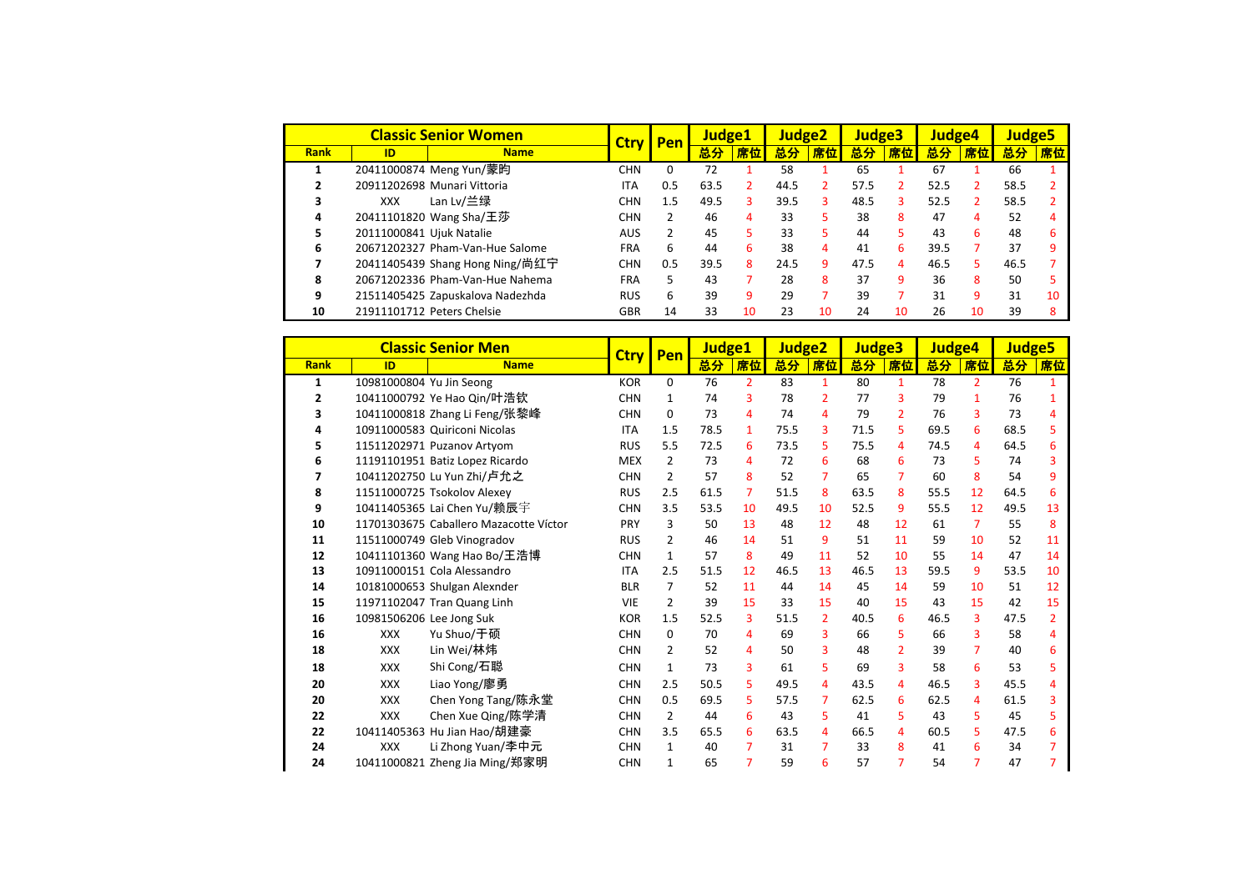|             | <b>Classic Senior Women</b> |                                  | Pen<br><b>Ctrv</b> |     | <b>Judge1</b> |    | Judge <sub>2</sub> |    | Judge3 |    | Judge4 |    | <b>Judge5</b> |    |
|-------------|-----------------------------|----------------------------------|--------------------|-----|---------------|----|--------------------|----|--------|----|--------|----|---------------|----|
| <b>Rank</b> | ID                          | <b>Name</b>                      |                    |     | 总分            | 席位 | 总分                 | 席位 | 总分     | 席位 | 总分     | 席位 | 总分            | 席位 |
|             |                             | 20411000874 Meng Yun/蒙昀          | CHN                | 0   | 72            |    | 58                 |    | 65     |    | 67     |    | 66            |    |
|             |                             | 20911202698 Munari Vittoria      | <b>ITA</b>         | 0.5 | 63.5          | 2  | 44.5               |    | 57.5   |    | 52.5   |    | 58.5          |    |
| 3           | XXX                         | Lan Lv/兰绿                        | <b>CHN</b>         | 1.5 | 49.5          | 3  | 39.5               | ٩  | 48.5   | 3  | 52.5   |    | 58.5          |    |
| 4           |                             | 20411101820 Wang Sha/王莎          | <b>CHN</b>         | 2   | 46            | 4  | 33                 |    | 38     | 8  | 47     | 4  | 52            |    |
| 5           | 20111000841 Ujuk Natalie    |                                  | <b>AUS</b>         | 2   | 45            | 5. | 33                 |    | 44     | 5  | 43     | 6  | 48            |    |
| 6           |                             | 20671202327 Pham-Van-Hue Salome  | <b>FRA</b>         | 6   | 44            | 6. | 38                 | 4  | 41     | 6  | 39.5   |    | 37            |    |
|             |                             | 20411405439 Shang Hong Ning/尚红宁  | <b>CHN</b>         | 0.5 | 39.5          | 8  | 24.5               | q  | 47.5   | 4  | 46.5   | 5. | 46.5          |    |
| 8           |                             | 20671202336 Pham-Van-Hue Nahema  | <b>FRA</b>         | 5.  | 43            |    | 28                 | 8  | 37     | 9  | 36     | 8  | 50            |    |
| 9           |                             | 21511405425 Zapuskalova Nadezhda | <b>RUS</b>         | 6   | 39            | 9  | 29                 |    | 39     |    | 31     | 9  | 31            | 10 |
| 10          |                             | 21911101712 Peters Chelsie       | GBR                | 14  | 33            | 10 | 23                 | 10 | 24     | 10 | 26     | 10 | 39            |    |

|             | <b>Classic Senior Men</b> |                                        | <b>Ctry</b><br>Pen |                | Judge1 |                | Judge <sub>2</sub> |                | Judge <sub>3</sub> |                | Judge4 |                | Judge <sub>5</sub> |                |
|-------------|---------------------------|----------------------------------------|--------------------|----------------|--------|----------------|--------------------|----------------|--------------------|----------------|--------|----------------|--------------------|----------------|
| <b>Rank</b> | ID                        | <b>Name</b>                            |                    |                | 总分     | 席位             | 总分                 | 席位             | 总分                 | 席位             | 总分     | <u>席位</u>      | 总分                 | 席位             |
| 1           | 10981000804 Yu Jin Seong  |                                        | <b>KOR</b>         | $\Omega$       | 76     | $\overline{2}$ | 83                 | 1              | 80                 | $\mathbf{1}$   | 78     | $\overline{2}$ | 76                 |                |
| 2           |                           | 10411000792 Ye Hao Qin/叶浩钦             | <b>CHN</b>         | 1              | 74     | 3              | 78                 | $\overline{2}$ | 77                 | 3              | 79     | 1              | 76                 |                |
| з           |                           | 10411000818 Zhang Li Feng/张黎峰          | <b>CHN</b>         | 0              | 73     | 4              | 74                 | 4              | 79                 | $\overline{2}$ | 76     | 3              | 73                 | 4              |
| д           |                           | 10911000583 Quiriconi Nicolas          | <b>ITA</b>         | 1.5            | 78.5   | $\mathbf{1}$   | 75.5               | 3              | 71.5               | 5              | 69.5   | 6              | 68.5               | 5              |
|             |                           | 11511202971 Puzanov Artyom             | <b>RUS</b>         | 5.5            | 72.5   | 6              | 73.5               | 5              | 75.5               | 4              | 74.5   | 4              | 64.5               | 6              |
| 6           |                           | 11191101951 Batiz Lopez Ricardo        | <b>MEX</b>         | $\overline{2}$ | 73     | 4              | 72                 | 6              | 68                 | 6              | 73     | 5              | 74                 | ٩              |
| 7           |                           | 10411202750 Lu Yun Zhi/卢允之             | <b>CHN</b>         | $\overline{2}$ | 57     | 8              | 52                 | 7              | 65                 | $\overline{7}$ | 60     | 8              | 54                 | 9              |
| 8           |                           | 11511000725 Tsokolov Alexey            | <b>RUS</b>         | 2.5            | 61.5   | 7              | 51.5               | 8              | 63.5               | 8              | 55.5   | 12             | 64.5               | 6              |
| 9           |                           | 10411405365 Lai Chen Yu/赖辰宇            | <b>CHN</b>         | 3.5            | 53.5   | 10             | 49.5               | 10             | 52.5               | 9              | 55.5   | 12             | 49.5               | 13             |
| 10          |                           | 11701303675 Caballero Mazacotte Víctor | PRY                | 3              | 50     | 13             | 48                 | 12             | 48                 | 12             | 61     | 7              | 55                 | 8              |
| 11          |                           | 11511000749 Gleb Vinogradov            | <b>RUS</b>         | 2              | 46     | 14             | 51                 | 9              | 51                 | 11             | 59     | 10             | 52                 | 11             |
| 12          |                           | 10411101360 Wang Hao Bo/王浩博            | <b>CHN</b>         | $\mathbf{1}$   | 57     | 8              | 49                 | 11             | 52                 | 10             | 55     | 14             | 47                 | 14             |
| 13          |                           | 10911000151 Cola Alessandro            | <b>ITA</b>         | 2.5            | 51.5   | 12             | 46.5               | 13             | 46.5               | 13             | 59.5   | 9              | 53.5               | 10             |
| 14          |                           | 10181000653 Shulgan Alexnder           | <b>BLR</b>         | 7              | 52     | 11             | 44                 | 14             | 45                 | 14             | 59     | 10             | 51                 | 12             |
| 15          |                           | 11971102047 Tran Quang Linh            | <b>VIE</b>         | $\overline{2}$ | 39     | 15             | 33                 | 15             | 40                 | 15             | 43     | 15             | 42                 | 15             |
| 16          | 10981506206 Lee Jong Suk  |                                        | <b>KOR</b>         | 1.5            | 52.5   | 3              | 51.5               | $\overline{2}$ | 40.5               | 6              | 46.5   | 3              | 47.5               | $\overline{2}$ |
| 16          | <b>XXX</b>                | Yu Shuo/于硕                             | <b>CHN</b>         | $\mathbf{0}$   | 70     | 4              | 69                 | 3              | 66                 | 5.             | 66     | 3              | 58                 | Δ              |
| 18          | <b>XXX</b>                | Lin Wei/林炜                             | <b>CHN</b>         | $\overline{2}$ | 52     | 4              | 50                 | 3              | 48                 | $\overline{2}$ | 39     | $\overline{7}$ | 40                 | 6              |
| 18          | <b>XXX</b>                | Shi Cong/石聪                            | <b>CHN</b>         | $\mathbf{1}$   | 73     | 3              | 61                 | 5.             | 69                 | 3              | 58     | 6              | 53                 | 5              |
| 20          | <b>XXX</b>                | Liao Yong/廖勇                           | <b>CHN</b>         | 2.5            | 50.5   | 5              | 49.5               | 4              | 43.5               | 4              | 46.5   | $\overline{3}$ | 45.5               | Δ              |
| 20          | <b>XXX</b>                | Chen Yong Tang/陈永堂                     | <b>CHN</b>         | 0.5            | 69.5   | 5              | 57.5               | 7              | 62.5               | 6              | 62.5   | 4              | 61.5               | 3              |
| 22          | <b>XXX</b>                | Chen Xue Qing/陈学清                      | <b>CHN</b>         | $\overline{2}$ | 44     | 6              | 43                 | 5              | 41                 | 5              | 43     | 5              | 45                 | 5              |
| 22          |                           | 10411405363 Hu Jian Hao/胡建豪            | <b>CHN</b>         | 3.5            | 65.5   | 6              | 63.5               | 4              | 66.5               | 4              | 60.5   | 5              | 47.5               | 6              |
| 24          | <b>XXX</b>                | Li Zhong Yuan/李中元                      | <b>CHN</b>         | 1              | 40     | 7              | 31                 | 7              | 33                 | 8              | 41     | 6              | 34                 |                |
| 24          |                           | 10411000821 Zheng Jia Ming/郑家明         | <b>CHN</b>         | 1              | 65     | 7              | 59                 | 6              | 57                 | $\overline{7}$ | 54     | 7              | 47                 |                |